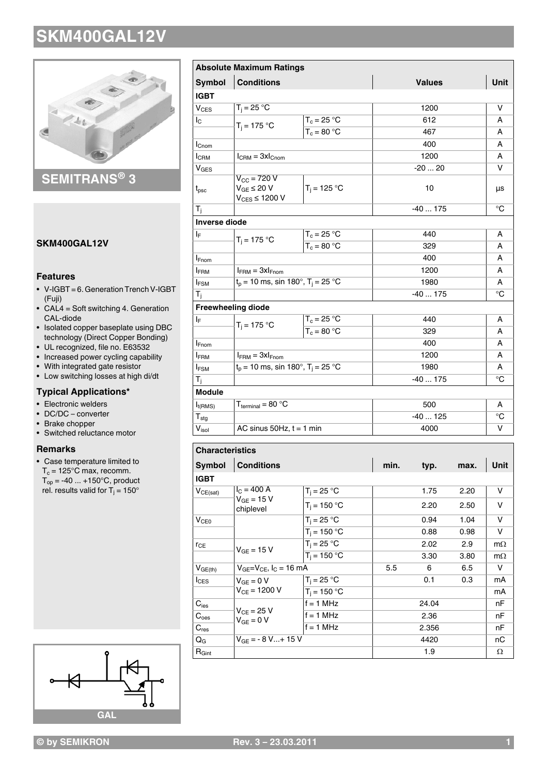

**SEMITRANS® 3**

#### **SKM400GAL12V**

#### **Features**

- V-IGBT = 6. Generation Trench V-IGBT (Fuji)
- $\bullet$  CAL4 = Soft switching 4. Generation CAL-diode
- Isolated copper baseplate using DBC technology (Direct Copper Bonding)
- UL recognized, file no. E63532
- Increased power cycling capability
- With integrated gate resistor
- Low switching losses at high di/dt

#### **Typical Applications\***

- Electronic welders
- DC/DC converter
- Brake chopper
- Switched reluctance motor

#### **Remarks**

• Case temperature limited to  $T_c = 125^{\circ}$ C max, recomm.  $T_{op} = -40 ... +150°C$ , product rel. results valid for T<sub>j</sub> = 150°



|                        | <b>Absolute Maximum Ratings</b>                                        |                                        |          |          |      |             |  |  |
|------------------------|------------------------------------------------------------------------|----------------------------------------|----------|----------|------|-------------|--|--|
| <b>Symbol</b>          | <b>Conditions</b><br><b>Values</b>                                     |                                        |          |          | Unit |             |  |  |
| <b>IGBT</b>            |                                                                        |                                        |          |          |      |             |  |  |
| V <sub>CES</sub>       | $T_i = 25 °C$                                                          |                                        |          | 1200     |      | v           |  |  |
| $I_{\rm C}$            |                                                                        | $T_c = 25 °C$                          |          | 612      |      | А           |  |  |
|                        | $T_i = 175 °C$                                                         | $T_c = 80 °C$                          |          | 467      |      | A           |  |  |
| I <sub>Cnom</sub>      |                                                                        |                                        |          | 400      |      | A           |  |  |
| I <sub>CRM</sub>       | $I_{\text{CRM}} = 3xI_{\text{Chom}}$                                   |                                        |          | 1200     | A    |             |  |  |
| $V_{GES}$              |                                                                        |                                        |          | $-2020$  |      | v           |  |  |
| $t_{\rm psc}$          | $V_{\text{CC}}$ = 720 V<br>$V_{GE} \leq 20 V$<br>$V_{CES} \leq 1200 V$ | $T_i = 125 °C$                         |          | 10       |      | μs          |  |  |
| $T_{j}$                |                                                                        |                                        |          | $-40175$ |      |             |  |  |
| <b>Inverse diode</b>   |                                                                        |                                        |          |          |      |             |  |  |
| IF.                    | $T_i = 175 °C$                                                         | $T_c = 25 °C$                          |          | 440      | A    |             |  |  |
|                        |                                                                        | $T_c = 80 °C$                          |          | 329      |      |             |  |  |
| <b>I</b> Fnom          |                                                                        |                                        |          | 400      |      |             |  |  |
| <b>IFRM</b>            | $I_{FRM} = 3xI_{Fnom}$                                                 |                                        |          |          | 1200 |             |  |  |
| $I_{FSM}$              |                                                                        | $t_p = 10$ ms, sin 180°, $T_i = 25$ °C |          |          | 1980 |             |  |  |
| $T_{j}$                |                                                                        |                                        | $-40175$ |          |      |             |  |  |
|                        | <b>Freewheeling diode</b>                                              |                                        |          |          |      |             |  |  |
| ΙF                     | $T_i = 175 °C$                                                         | $T_c = 25 °C$                          |          | 440      |      |             |  |  |
|                        |                                                                        | $T_c = 80 °C$                          |          | 329      |      |             |  |  |
| <b>I</b> Fnom          |                                                                        |                                        |          |          | 400  |             |  |  |
| <b>IFRM</b>            | $I_{FRM} = 3xI_{Fnom}$                                                 |                                        |          | 1200     |      |             |  |  |
| <b>IFSM</b>            | $t_p = 10$ ms, sin 180°, $T_i = 25$ °C                                 |                                        |          | 1980     |      |             |  |  |
| T <sub>j</sub>         |                                                                        |                                        |          | $-40175$ |      |             |  |  |
| Module                 |                                                                        |                                        |          |          |      |             |  |  |
| $I_{t(RMS)}$           | $T_{\text{terminal}} = 80 \text{ °C}$                                  |                                        |          | 500      |      |             |  |  |
| ${\sf T}_{\sf stg}$    |                                                                        |                                        |          | $-40125$ |      |             |  |  |
| $V_{\text{isol}}$      | AC sinus $50Hz$ , $t = 1$ min                                          |                                        |          | 4000     |      |             |  |  |
|                        |                                                                        |                                        |          |          |      |             |  |  |
| <b>Characteristics</b> |                                                                        |                                        |          |          |      |             |  |  |
| <b>Symbol</b>          | <b>Conditions</b>                                                      |                                        | min.     | typ.     | max. | <b>Unit</b> |  |  |
| <b>IGBT</b>            |                                                                        |                                        |          |          |      |             |  |  |
| $V_{CE(sat)}$          | $I_C = 400 A$                                                          | $T_i = 25 °C$                          |          | 1.75     | 2.20 | v           |  |  |
|                        | $V_{GE}$ = 15 V<br>chiplevel                                           | $T_i = 150 °C$                         |          | 2.20     | 2.50 | v           |  |  |
| V <sub>CE0</sub>       |                                                                        | $T_i = 25 °C$                          |          | 0.94     | 1.04 | v           |  |  |
|                        |                                                                        | $T_i = 150 °C$                         |          | 0.88     | 0.98 | v           |  |  |
| $r_{CE}$               |                                                                        | $T_i = 25 °C$                          |          | 2.02     | 2.9  | $m\Omega$   |  |  |
|                        | $V_{GE}$ = 15 V                                                        | $T_i = 150 °C$                         |          | 3.30     | 3.80 | $m\Omega$   |  |  |
| $V_{GE(th)}$           | $V_{GE}=V_{CE}$ , $I_C = 16$ mA                                        |                                        | 5.5      | 6        | 6.5  | V           |  |  |

 $T_j = 25 \degree C$  0.1 0.3 mA  $T_i = 150 \, ^\circ \text{C}$  mA

 $f = 1 \text{ MHz}$  24.04 nF

 $C_{\text{oes}}$   $\begin{vmatrix} C_{\text{ces}} & C_{\text{tot}} & C_{\text{tot}} \\ C_{\text{tot}} & 0 & 1 \end{vmatrix}$  if = 1 MHz and 1 am 2.36 and 1 am  $\rm C_{res}$  |  $\rm T$  | f = 1 MHz | 2.356 | nF  $Q_G$   $V_{GE} = -8 V... + 15 V$  4420 nC  $\mathsf{R}_{\mathsf{Gint}}$  and  $\mathsf{R}_{\mathsf{Gint}}$  and  $\mathsf{R}_{\mathsf{Gint}}$  and  $\mathsf{R}_{\mathsf{Gint}}$  and  $\mathsf{R}_{\mathsf{Gint}}$  and  $\mathsf{R}_{\mathsf{Gint}}$  and  $\mathsf{R}_{\mathsf{Gint}}$  and  $\mathsf{R}_{\mathsf{Gint}}$  and  $\mathsf{R}_{\mathsf{Gint}}$  and  $\mathsf{R}_{\mathsf{Gint}}$  and  $\mathsf{R}_{\mathsf{Gint}}$  and

 $V_{GE} = 0 V$ 

 $\overline{C}_{\text{ies}}$ 

 $V_{CE}$  = 1200 V

 $V_{CE} = 25 V$  $V_{GE} = 0 V$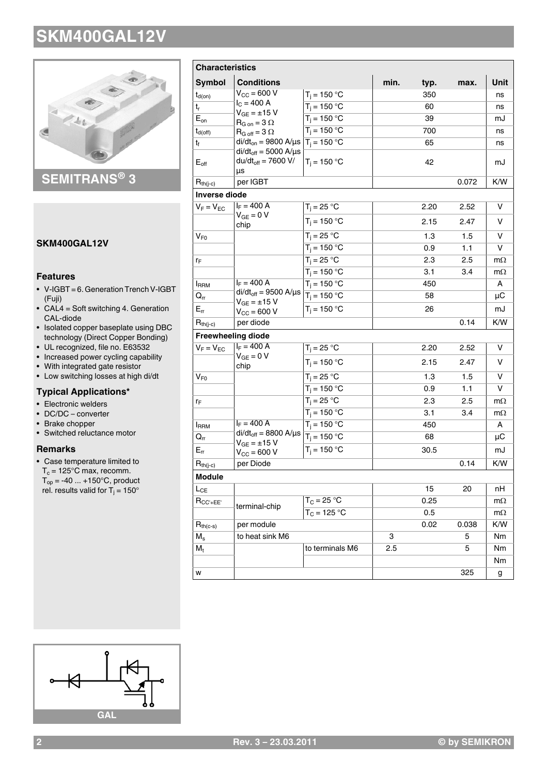

### **SEMITRANS® 3**

#### **SKM400GAL12V**

#### **Features**

- V-IGBT = 6. Generation Trench V-IGBT (Fuji)
- $\bullet$  CAL4 = Soft switching 4. Generation CAL-diode
- Isolated copper baseplate using DBC technology (Direct Copper Bonding)
- UL recognized, file no. E63532
- Increased power cycling capability
- With integrated gate resistor
- Low switching losses at high di/dt

#### **Typical Applications\***

- Electronic welders
- DC/DC converter
- Brake chopper
- Switched reluctance motor

#### **Remarks**

• Case temperature limited to  $T_c = 125^{\circ}$ C max, recomm.  $T_{op} = -40 ... +150°C$ , product rel. results valid for T<sub>j</sub> = 150°

| <b>Characteristics</b>   |                                                                  |                          |      |      |       |             |
|--------------------------|------------------------------------------------------------------|--------------------------|------|------|-------|-------------|
| Symbol                   | <b>Conditions</b>                                                |                          | min. | typ. | max.  | <b>Unit</b> |
| $t_{d(on)}$              | $V_{CC}$ = 600 V                                                 | $T_i = 150 °C$           |      | 350  |       | ns          |
| $t_r$                    | $I_C = 400 A$<br>$V_{GE} = \pm 15 V$                             | $T_i = 150 °C$           |      | 60   |       | ns          |
| $E_{\text{on}}$          | $R_{G \text{ on}} = 3 \Omega$                                    | $T_i = 150^{\circ}$ C    |      | 39   |       | mJ          |
| $t_{d(off)}$             | $R_{G \text{ off}} = 3 \Omega$                                   | $T_i = 150 °C$           |      | 700  |       | ns          |
| t <sub>f</sub>           | di/dt <sub>on</sub> = 9800 A/µs $T_i = 150 °C$                   |                          |      | 65   |       | ns          |
| $E_{\text{off}}$         | $di/dt_{off} = 5000$ A/ $\mu$ s<br>$du/dt_{off} = 7600 V/$<br>μs | $T_i = 150 °C$           |      | 42   |       | mJ          |
| $R_{th(j-c)}$            | per IGBT                                                         |                          |      |      | 0.072 | K/W         |
| <b>Inverse diode</b>     |                                                                  |                          |      |      |       |             |
| $V_F = V_{EC}$           | $I_F = 400 A$                                                    | $T_j = 25 °C$            |      | 2.20 | 2.52  | v           |
|                          | $V_{GE} = 0 V$<br>chip                                           | $T_i = 150 °C$           |      | 2.15 | 2.47  | v           |
| $V_{F0}$                 |                                                                  | $T_i = 25 \overline{°C}$ |      | 1.3  | 1.5   | v           |
|                          |                                                                  | $T_i = 150 °C$           |      | 0.9  | 1.1   | v           |
| $r_{\rm F}$              |                                                                  | $T_i = 25 °C$            |      | 2.3  | 2.5   | $m\Omega$   |
|                          |                                                                  | $T_i = 150 °C$           |      | 3.1  | 3.4   | $m\Omega$   |
| <b>IRRM</b>              | $I_F = 400 A$                                                    | $T_i = 150 °C$           |      | 450  |       | A           |
| $Q_{rr}$                 | $di/dt_{off} = 9500$ A/ $\mu$ s                                  | $T_i = 150 °C$           |      | 58   |       | μC          |
| $E_{rr}$                 | $V_{GE} = \pm 15 V$<br>$V_{\text{CC}} = 600 V$                   | $T_i = 150 °C$           |      | 26   |       | mJ          |
| $R_{th(j-c)}$            | per diode                                                        |                          |      |      | 0.14  | K/W         |
|                          | <b>Freewheeling diode</b>                                        |                          |      |      |       |             |
| $V_F = V_{EC}$           | $I_F = 400 A$                                                    | $T_j = 25 °C$            |      | 2.20 | 2.52  | v           |
|                          | $V_{GE} = 0 V$<br>chip                                           | $T_i = 150 °C$           |      | 2.15 | 2.47  | v           |
| $\mathsf{V}_\mathsf{F0}$ |                                                                  | $T_i = 25 °C$            |      | 1.3  | 1.5   | v           |
|                          |                                                                  | $T_i = 150 °C$           |      | 0.9  | 1.1   | v           |
| $r_F$                    |                                                                  | $T_i = 25 °C$            |      | 2.3  | 2.5   | $m\Omega$   |
|                          |                                                                  | $T_i = 150 °C$           |      | 3.1  | 3.4   | $m\Omega$   |
| <b>I</b> RRM             | $I_F = 400 A$                                                    | $T_i = 150 °C$           |      | 450  |       | A           |
| $Q_{rr}$                 | $di/dt_{off} = 8800 A/\mu s$<br>$V_{GE} = \pm 15 V$              | $T_i = 150 °C$           |      | 68   |       | μC          |
| $E_{rr}$                 | $V_{CC} = 600 V$                                                 | $T_i = 150 °C$           |      | 30.5 |       | mJ          |
| $R_{th(j-c)}$            | per Diode                                                        |                          |      |      | 0.14  | K/W         |
| <b>Module</b>            |                                                                  |                          |      |      |       |             |
| $L_{CE}$                 |                                                                  |                          |      | 15   | 20    | nН          |
| $R_{CC'+EE'}$            | terminal-chip                                                    | $T_C = 25 °C$            |      | 0.25 |       | $m\Omega$   |
|                          |                                                                  | $T_C = 125 °C$           |      | 0.5  |       | $m\Omega$   |
| $R_{th(c-s)}$            | per module                                                       |                          |      | 0.02 | 0.038 | K/W         |
| $M_{\rm s}$              | to heat sink M6                                                  |                          | 3    |      | 5     | Nm          |
| $M_t$                    |                                                                  | to terminals M6          | 2.5  |      | 5     | Nm          |
|                          |                                                                  |                          |      |      |       | Nm          |
| W                        |                                                                  |                          |      |      | 325   | g           |

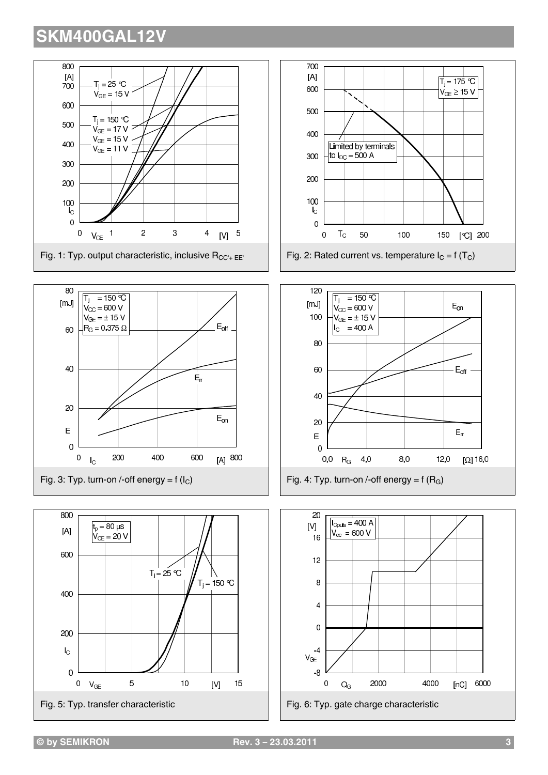

[ $\mathbb{C}$ ] 200

 $\Omega$ <sup>16,0</sup>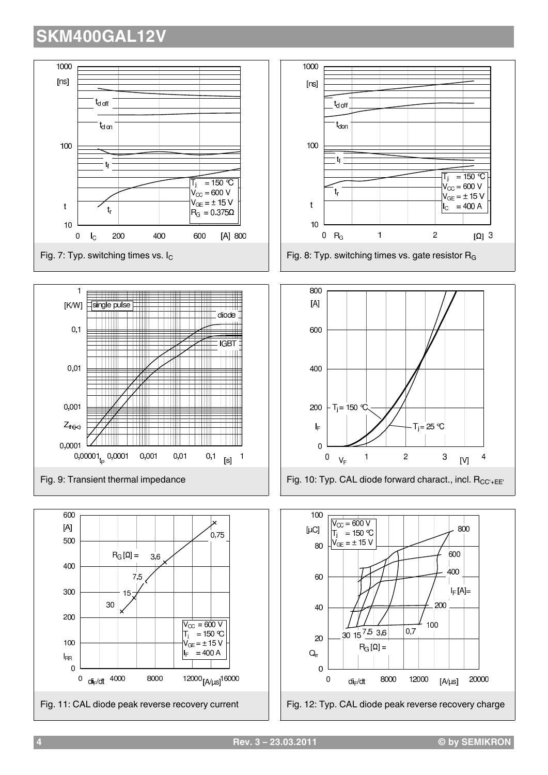